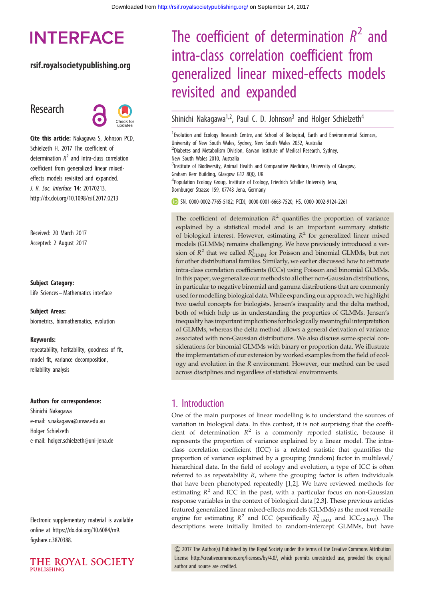# **INTERFACE**

#### rsif.royalsocietypublishing.org

# Research



Cite this article: Nakagawa S, Johnson PCD, Schielzeth H. 2017 The coefficient of determination  $R^2$  and intra-class correlation coefficient from generalized linear mixedeffects models revisited and expanded. J. R. Soc. Interface 14: 20170213. http://dx.doi.org/10.1098/rsif.2017.0213

Received: 20 March 2017 Accepted: 2 August 2017

#### Subject Category:

Life Sciences –Mathematics interface

Subject Areas: biometrics, biomathematics, evolution

#### Keywords:

repeatability, heritability, goodness of fit, model fit, variance decomposition, reliability analysis

#### Authors for correspondence:

Shinichi Nakagawa e-mail: [s.nakagawa@unsw.edu.au](mailto:s.nakagawa@unsw.edu.au) Holger Schielzeth e-mail: [holger.schielzeth@uni-jena.de](mailto:holger.schielzeth@uni-jena.de)

Electronic supplementary material is available online at [https://dx.doi.org/10.6084/m9.](https://dx.doi.org/10.6084/m9.figshare.c.3870388) [figshare.c.3870388](https://dx.doi.org/10.6084/m9.figshare.c.3870388).



# The coefficient of determination  $R^2$  and intra-class correlation coefficient from generalized linear mixed-effects models revisited and expanded

#### Shinichi Nakagawa<sup>1,2</sup>, Paul C. D. Johnson<sup>3</sup> and Holger Schielzeth<sup>4</sup>

<sup>1</sup> Evolution and Ecology Research Centre, and School of Biological, Earth and Environmental Sciences, University of New South Wales, Sydney, New South Wales 2052, Australia <sup>2</sup>Diabetes and Metabolism Division, Garvan Institute of Medical Research, Sydney, New South Wales 2010, Australia <sup>3</sup>Institute of Biodiversity, Animal Health and Comparative Medicine, University of Glasgow, Graham Kerr Building, Glasgow G12 8QQ, UK 4 Population Ecology Group, Institute of Ecology, Friedrich Schiller University Jena, Dornburger Strasse 159, 07743 Jena, Germany SN, [0000-0002-7765-5182;](http://orcid.org/0000-0002-7765-5182) PCDJ, [0000-0001-6663-7520;](http://orcid.org/0000-0001-6663-7520) HS, [0000-0002-9124-2261](http://orcid.org/0000-0002-9124-2261) The coefficient of determination  $R^2$  quantifies the proportion of variance explained by a statistical model and is an important summary statistic of biological interest. However, estimating  $R^2$  for generalized linear mixed models (GLMMs) remains challenging. We have previously introduced a version of  $R^2$  that we called  $R^2_{\text{GLMM}}$  for Poisson and binomial GLMMs, but not

for other distributional families. Similarly, we earlier discussed how to estimate intra-class correlation coefficients (ICCs) using Poisson and binomial GLMMs. In this paper, we generalize our methods to all other non-Gaussian distributions, in particular to negative binomial and gamma distributions that are commonly used formodelling biological data.While expanding our approach, we highlight two useful concepts for biologists, Jensen's inequality and the delta method, both of which help us in understanding the properties of GLMMs. Jensen's inequality has important implications for biologically meaningful interpretation of GLMMs, whereas the delta method allows a general derivation of variance associated with non-Gaussian distributions. We also discuss some special considerations for binomial GLMMs with binary or proportion data. We illustrate the implementation of our extension by worked examples from the field of ecology and evolution in the R environment. However, our method can be used across disciplines and regardless of statistical environments.

### 1. Introduction

One of the main purposes of linear modelling is to understand the sources of variation in biological data. In this context, it is not surprising that the coefficient of determination  $R^2$  is a commonly reported statistic, because it represents the proportion of variance explained by a linear model. The intraclass correlation coefficient (ICC) is a related statistic that quantifies the proportion of variance explained by a grouping (random) factor in multilevel/ hierarchical data. In the field of ecology and evolution, a type of ICC is often referred to as repeatability R, where the grouping factor is often individuals that have been phenotyped repeatedly [\[1,2\]](#page-9-0). We have reviewed methods for estimating  $R^2$  and ICC in the past, with a particular focus on non-Gaussian response variables in the context of biological data [\[2,3\]](#page-9-0). These previous articles featured generalized linear mixed-effects models (GLMMs) as the most versatile engine for estimating  $R^2$  and ICC (specifically  $R^2_{\text{GLMM}}$  and ICC<sub>GLMM</sub>). The descriptions were initially limited to random-intercept GLMMs, but have

& 2017 The Author(s) Published by the Royal Society under the terms of the Creative Commons Attribution License [http://creativecommons.org/licenses/by/4.0/, which permits unrestricted use, provided the original](http://creativecommons.org/licenses/by/4.0/) [author and source are credited.](http://creativecommons.org/licenses/by/4.0/)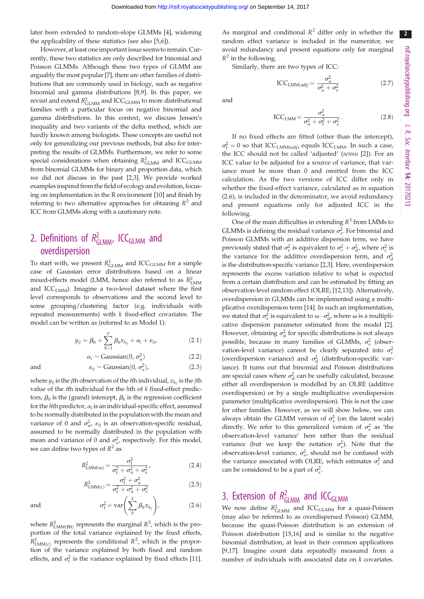later been extended to random-slope GLMMs [[4](#page-9-0)], widening the applicability of these statistics (see also [\[5,6](#page-9-0)]).

However, at least one important issue seems to remain. Currently, these two statistics are only described for binomial and Poisson GLMMs. Although these two types of GLMM are arguably the most popular [[7](#page-9-0)], there are other families of distributions that are commonly used in biology, such as negative binomial and gamma distributions [\[8,9](#page-9-0)]. In this paper, we revisit and extend  $R^2_{\rm GLMM}$  and  $\rm{ICC_{GLMM}}$  to more distributional families with a particular focus on negative binomial and gamma distributions. In this context, we discuss Jensen's inequality and two variants of the delta method, which are hardly known among biologists. These concepts are useful not only for generalizing our previous methods, but also for interpreting the results of GLMMs. Furthermore, we refer to some special considerations when obtaining  $R_{\text{GLMM}}^2$  and ICC<sub>GLMM</sub> from binomial GLMMs for binary and proportion data, which we did not discuss in the past [[2,3\]](#page-9-0). We provide worked examples inspired from the field of ecology and evolution, focusing on implementation in the R environment [\[10\]](#page-9-0) and finish by referring to two alternative approaches for obtaining  $R^2$  and ICC from GLMMs along with a cautionary note.

# 2. Definitions of  $R_{\text{GLMM}}^2$ , ICC<sub>GLMM</sub> and overdispersion

To start with, we present  $R^2_{\text{GLMM}}$  and ICC<sub>GLMM</sub> for a simple case of Gaussian error distributions based on a linear mixed-effects model (LMM, hence also referred to as  $R_{\text{LMM}}^2$ and ICC<sub>LMM</sub>). Imagine a two-level dataset where the first level corresponds to observations and the second level to some grouping/clustering factor (e.g. individuals with repeated measurements) with  $k$  fixed-effect covariates. The model can be written as (referred to as Model 1):

$$
y_{ij} = \beta_0 + \sum_{h=1}^p \beta_h x_{h_{ij}} + \alpha_i + \varepsilon_{ij}, \qquad (2.1)
$$

$$
\alpha_i \sim \text{Gaussian}(0, \sigma_\alpha^2) \tag{2.2}
$$
\n
$$
\varepsilon_{ii} \sim \text{Gaussian}(0, \sigma_\alpha^2), \tag{2.3}
$$

and 
$$
\varepsilon_{ij} \sim \text{Gaussian}(0, \sigma_{\varepsilon}^2)
$$
, (2.3)  
where  $y_{ij}$  is the *j*th observation of the *i*th individual,  $x_{h_{ij}}$  is the *j*th  
value of the *i*th individual for the *h*th of *k* fixed-effect predic-  
tors,  $\beta_0$  is the (grand) intercept,  $\beta_h$  is the regression coefficient  
for the *h*th predictor,  $\alpha_i$  is an individual-specific effect, assumed  
to be normally distributed in the population with the mean and  
variance of 0 and  $\sigma_{\alpha}^2$ ,  $\varepsilon_{ij}$  is an observation-specific residual,  
assumed to be normally distributed in the population with  
mean and variance of 0 and  $\sigma_{\varepsilon}^2$ , respectively. For this model,  
we can define two types of  $R^2$  as

$$
R_{\text{LMM(m)}}^2 = \frac{\sigma_{\text{f}}^2}{\sigma_{\text{f}}^2 + \sigma_{\alpha}^2 + \sigma_{\varepsilon}^2},\tag{2.4}
$$

$$
R_{\text{LMM(c)}}^{2} = \frac{\sigma_{\text{f}}^{2} + \sigma_{\alpha}^{2}}{\sigma_{\text{f}}^{2} + \sigma_{\alpha}^{2} + \sigma_{\text{e}}^{2}} \qquad (2.5)
$$

$$
\sigma_{\text{f}}^{2} = \text{var}\left(\sum_{h}^{k} \beta_{h} x_{h_{ij}}\right), \qquad (2.6)
$$

and  $\sigma_f^2 = \text{var}\left(\sum^k\right)$ 

where 
$$
R_{\text{LMM}(m)}^2
$$
 represents the marginal  $R^2$ , which is the proportion of the total variance explained by the fixed effects,  $R_{\text{LMM}(c)}^2$  represents the conditional  $R^2$ , which is the proportion of the variance explained by both fixed and random effects, and  $\sigma_f^2$  is the variance explained by fixed effects [11].

As marginal and conditional  $R^2$  differ only in whether the random effect variance is included in the numerator, we avoid redundancy and present equations only for marginal  $R^2$  in the following.

Similarly, there are two types of ICC:

$$
ICC_{LMM(adj)} = \frac{\sigma_{\alpha}^2}{\sigma_{\alpha}^2 + \sigma_{\varepsilon}^2}
$$
 (2.7)

and

$$
ICC_{LMM} = \frac{\sigma_{\alpha}^2}{\sigma_{\alpha}^2 + \sigma_{\rm f}^2 + \sigma_{\epsilon}^2}.
$$
 (2.8)

If no fixed effects are fitted (other than the intercept),  $\sigma_f^2 = 0$  so that ICC<sub>LMM(adj)</sub> equals ICC<sub>LMM</sub>. In such a case, the ICC should not be called 'adjusted' (sensu [[2](#page-9-0)]). For an ICC value to be adjusted for a source of variance, that variance must be more than 0 and omitted from the ICC calculation. As the two versions of ICC differ only in whether the fixed-effect variance, calculated as in equation (2.6), is included in the denominator, we avoid redundancy and present equations only for adjusted ICC in the following.

One of the main difficulties in extending  $R^2$  from LMMs to GLMMs is defining the residual variance  $\sigma_{\varepsilon}^2$ . For binomial and Poisson GLMMs with an additive dispersion term, we have previously stated that  $\sigma_{\varepsilon}^2$  is equivalent to  $\sigma_{\varepsilon}^2 + \sigma_{\varepsilon}^2$ , where  $\sigma_{\varepsilon}^2$  is the variance for the additive overdispersion term, and  $\sigma_d^2$ is the distribution-specific variance [[2](#page-9-0),[3](#page-9-0)]. Here, overdispersion represents the excess variation relative to what is expected from a certain distribution and can be estimated by fitting an observation-level random effect (OLRE; [[12,13\]](#page-9-0)). Alternatively, overdispersion in GLMMs can be implemented using a multiplicative overdispersion term [\[14](#page-9-0)]. In such an implementation, we stated that  $\sigma_{\varepsilon}^2$  is equivalent to  $\omega \cdot \sigma_{d}^2$ , where  $\omega$  is a multiplicative dispersion parameter estimated from the model [\[2\]](#page-9-0). However, obtaining  $\sigma_d^2$  for specific distributions is not always possible, because in many families of GLMMs,  $\sigma_{\varepsilon}^2$  (observation-level variance) cannot be clearly separated into  $\sigma_e^2$ (overdispersion variance) and  $\sigma_d^2$  (distribution-specific variance). It turns out that binomial and Poisson distributions are special cases where  $\sigma_d^2$  can be usefully calculated, because either all overdispersion is modelled by an OLRE (additive overdispersion) or by a single multiplicative overdispersion parameter (multiplicative overdispersion). This is not the case for other families. However, as we will show below, we can always obtain the GLMM version of  $\sigma_{\varepsilon}^2$  (on the latent scale) directly. We refer to this generalized version of  $\sigma_{\varepsilon}^2$  as 'the observation-level variance' here rather than the residual variance (but we keep the notation  $\sigma_{\varepsilon}^2$ ). Note that the observation-level variance,  $\sigma_{\varepsilon}^2$ , should not be confused with the variance associated with OLRE, which estimates  $\sigma_e^2$  and can be considered to be a part of  $\sigma_{\varepsilon}^2$ .

# 3. Extension of  $R_{\text{GLMM}}^2$  and ICC<sub>GLMM</sub>

We now define  $R_{\text{GLMM}}^2$  and ICC<sub>GLMM</sub> for a quasi-Poisson (may also be referred to as overdispersed Poisson) GLMM, because the quasi-Poisson distribution is an extension of Poisson distribution [\[15,16](#page-9-0)] and is similar to the negative binomial distribution, at least in their common applications [[9,17](#page-9-0)]. Imagine count data repeatedly measured from a number of individuals with associated data on k covariates.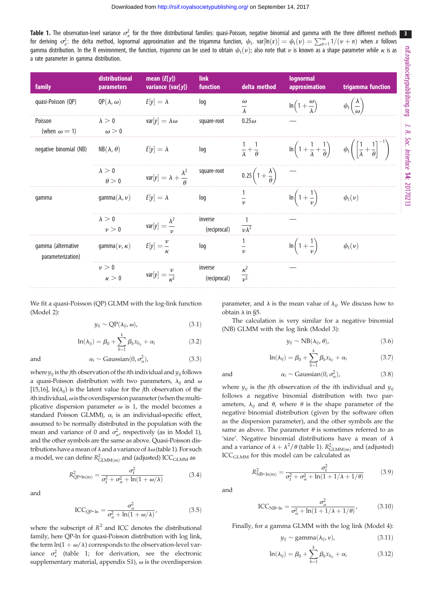<span id="page-2-0"></span>**Table 1.** The observation-level variance  $\sigma_{\varepsilon}^2$  for the three distributional families: quasi-Poisson, negative binomial and gamma with the three different methods for deriving  $\sigma_{\varepsilon}^2$ : the delta method, lognormal approximation and the trigamma function,  $\psi_1$ . var $[\ln(x)] = \psi_1(\nu) = \sum_{n=1}^{\infty} 1/(\nu+n)$  when x follows gamma distribution. In the R environment, the function, trigamma can be used to obtain  $\psi_1(\nu)$ ; also note that  $\nu$  is known as a shape parameter while  $\kappa$  is as a rate parameter in gamma distribution.

| family                                  | distributional<br>parameters            | mean $(E[y])$<br>variance (var[y])        | link<br>function        | delta method                                | <b>lognormal</b><br>approximation                                                                                                | trigamma function                |
|-----------------------------------------|-----------------------------------------|-------------------------------------------|-------------------------|---------------------------------------------|----------------------------------------------------------------------------------------------------------------------------------|----------------------------------|
| quasi-Poisson (QP)                      | $QP(\lambda, \omega)$                   | $E[y] = \lambda$                          | log                     | $\omega$                                    | $\ln\left(1+\frac{\omega}{\lambda}\right)$                                                                                       | $\psi_1(\frac{\Lambda}{\sigma})$ |
| Poisson<br>(when $\omega = 1$ )         | $\lambda > 0$<br>$\omega > 0$           | var $[y] = \lambda \omega$                | square-root             | $0.25\omega$                                |                                                                                                                                  |                                  |
| negative binomial (NB)                  | $NB(\lambda, \theta)$                   | $E[y] = \lambda$                          | log                     | $\frac{1}{\lambda} + \frac{1}{\theta}$      | $\ln\left(1+\frac{1}{\lambda}+\frac{1}{\theta}\right)$ $\psi_1\left(\left[\frac{1}{\lambda}+\frac{1}{\theta}\right]^{-1}\right)$ |                                  |
|                                         | $\lambda > 0$<br>$\theta > 0$           | var $[y] = \lambda + \frac{\lambda^2}{4}$ | square-root             | $0.25\left(1+\frac{\lambda}{\theta}\right)$ |                                                                                                                                  |                                  |
| gamma                                   | gamma $(\lambda, \nu)$ $E[y] = \lambda$ |                                           | log                     |                                             | $\ln\left(1+\frac{1}{\nu}\right)$                                                                                                | $\psi_1(\nu)$                    |
|                                         | $\lambda > 0$<br>$\nu > 0$              | $var[y] = \frac{\lambda^2}{\lambda^2}$    | inverse<br>(reciprocal) | $\overline{\nu\lambda^2}$                   |                                                                                                                                  |                                  |
| gamma (alternative<br>parameterization) | gamma $(\nu, \kappa)$                   | $E[y] = \frac{y}{\kappa}$                 | log                     | $\upsilon$                                  | $\ln\left(1+\frac{1}{\nu}\right)$                                                                                                | $\psi_1(\nu)$                    |
|                                         | $\nu > 0$<br>$\kappa > 0$               | $var[y] = \frac{v}{\kappa^2}$             | inverse<br>(reciprocal) | $\kappa^2$<br>$\overline{13}$               |                                                                                                                                  |                                  |

We fit a quasi-Poisson (QP) GLMM with the log-link function (Model 2):

$$
y_{ij} \sim \mathrm{QP}(\lambda_{ij}, \omega), \tag{3.1}
$$

$$
\ln(\lambda_{ij}) = \beta_0 + \sum_{h=1}^k \beta_h x_{h_{ij}} + \alpha_i \tag{3.2}
$$

$$
\quad \text{and} \quad
$$

and 
$$
\alpha_i \sim \text{Gaussian}(0, \sigma_\alpha^2)
$$
, (3.3)

where  $y_{ij}$  is the jth observation of the *i*th individual and  $y_{ij}$  follows a quasi-Poisson distribution with two parameters,  $\lambda_{ii}$  and  $\omega$ [\[15,16\]](#page-9-0),  $\ln(\lambda_{ii})$  is the latent value for the *j*th observation of the  $i$ th individual,  $\omega$  is the overdispersion parameter (when the multiplicative dispersion parameter  $\omega$  is 1, the model becomes a standard Poisson GLMM),  $\alpha_i$  is an individual-specific effect, assumed to be normally distributed in the population with the mean and variance of 0 and  $\sigma_{\alpha}^2$ , respectively (as in Model 1), and the other symbols are the same as above. Quasi-Poisson distributions have a mean of  $\lambda$  and a variance of  $\lambda \omega$  (table 1). For such a model, we can define  $R^2_{\rm GLMM(m)}$  and (adjusted) ICC $_{\rm GLMM}$  as

$$
R_{\rm QP-In(m)}^2 = \frac{\sigma_{\rm f}^2}{\sigma_{\rm f}^2 + \sigma_{\alpha}^2 + \ln(1 + \omega/\lambda)}
$$
(3.4)

and

$$
\text{ICC}_{\text{QP-h}} = \frac{\sigma_{\alpha}^2}{\sigma_{\alpha}^2 + \ln(1 + \omega/\lambda)},\tag{3.5}
$$

where the subscript of  $R^2$  and ICC denotes the distributional family, here QP-ln for quasi-Poisson distribution with log link, the term  $\ln(1 + \omega/\lambda)$  corresponds to the observation-level variance  $\sigma_{\varepsilon}^2$  (table 1; for derivation, see the electronic supplementary material, appendix S1),  $\omega$  is the overdispersion parameter, and  $\lambda$  is the mean value of  $\lambda_{ii}$ . We discuss how to obtain  $\lambda$  in §5.

The calculation is very similar for a negative binomial (NB) GLMM with the log link (Model 3):

$$
y_{ij} \sim \text{NB}(\lambda_{ij}, \theta), \tag{3.6}
$$

 $(3.8)$ 

$$
\ln(\lambda_{ij}) = \beta_0 + \sum_{h=1}^k \beta_h x_{h_{ij}} + \alpha_i \tag{3.7}
$$

and  $\alpha_i \sim \text{Gaussian}(0, \sigma_c^2)$ 

where  $y_{ii}$  is the *j*th observation of the *i*th individual and  $y_{ii}$ follows a negative binomial distribution with two parameters,  $\lambda_{ij}$  and  $\theta$ , where  $\theta$  is the shape parameter of the negative binomial distribution (given by the software often as the dispersion parameter), and the other symbols are the same as above. The parameter  $\theta$  is sometimes referred to as 'size'. Negative binomial distributions have a mean of  $\lambda$ and a variance of  $\lambda + \lambda^2/\theta$  (table 1).  $R_{\text{GLMM}(m)}^2$  and (adjusted) ICCGLMM for this model can be calculated as

$$
R_{\text{NB-In(m)}}^2 = \frac{\sigma_{\text{f}}^2}{\sigma_{\text{f}}^2 + \sigma_{\alpha}^2 + \ln(1 + 1/\lambda + 1/\theta)}
$$
(3.9)

and

$$
ICCNB-In = \frac{\sigma_{\alpha}^2}{\sigma_{\alpha}^2 + \ln(1 + 1/\lambda + 1/\theta)},
$$
\n(3.10)

Finally, for a gamma GLMM with the log link (Model 4):

$$
y_{ij} \sim \text{gamma}(\lambda_{ij}, \nu), \qquad (3.11)
$$

$$
\ln(\lambda_{ij}) = \beta_0 + \sum_{h=1}^k \beta_h x_{h_{ij}} + \alpha_i \tag{3.12}
$$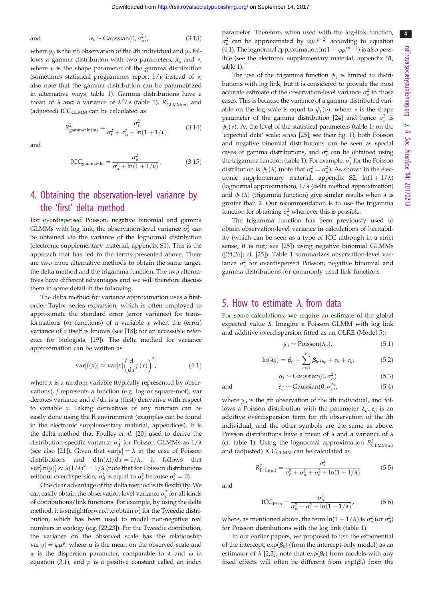and 
$$
\alpha_i \sim \text{Gaussian}(0, \sigma_\alpha^2),
$$
 (3.13)

where  $\psi_{ii}$  is the *j*th observation of the *i*th individual and  $\psi_{ii}$  follows a gamma distribution with two parameters,  $\lambda_{ij}$  and  $\nu$ , where  $\nu$  is the shape parameter of the gamma distribution (sometimes statistical programmes report  $1/\nu$  instead of  $\nu$ ; also note that the gamma distribution can be parametrized in alternative ways, [table 1\)](#page-2-0). Gamma distributions have a mean of  $\lambda$  and a variance of  $\lambda^2/\nu$  [\(table 1\)](#page-2-0).  $R^2_{\text{GLMM}(m)}$  and (adjusted)  $ICC_{GLMM}$  can be calculated as

$$
R_{\text{gamma-in(m)}}^2 = \frac{\sigma_{\text{f}}^2}{\sigma_{\text{f}}^2 + \sigma_{\alpha}^2 + \ln(1 + 1/\nu)}
$$
(3.14)

and

$$
\text{ICC}_{\text{gamma-h}} = \frac{\sigma_{\alpha}^2}{\sigma_{\alpha}^2 + \ln(1 + 1/\nu)}.
$$
 (3.15)

# 4. Obtaining the observation-level variance by the 'first' delta method

For overdispersed Poisson, negative binomial and gamma GLMMs with log link, the observation-level variance  $\sigma_{\varepsilon}^2$  can be obtained via the variance of the lognormal distribution (electronic supplementary material, appendix S1). This is the approach that has led to the terms presented above. There are two more alternative methods to obtain the same target: the delta method and the trigamma function. The two alternatives have different advantages and we will therefore discuss them in some detail in the following.

The delta method for variance approximation uses a firstorder Taylor series expansion, which is often employed to approximate the standard error (error variance) for transformations (or functions) of a variable  $x$  when the (error) variance of  $x$  itself is known (see [\[18](#page-9-0)]; for an accessible reference for biologists, [\[19](#page-9-0)]). The delta method for variance approximation can be written as

$$
\text{var}[f(x)] \approx \text{var}[x] \left(\frac{d}{dx} f(x)\right)^2,\tag{4.1}
$$

where  $x$  is a random variable (typically represented by observations), f represents a function (e.g. log or square-root), var denotes variance and  $d/dx$  is a (first) derivative with respect to variable x. Taking derivatives of any function can be easily done using the R environment (examples can be found in the electronic supplementary material, appendices). It is the delta method that Foulley et al. [\[20](#page-9-0)] used to derive the distribution-specific variance  $\sigma_d^2$  for Poisson GLMMs as  $1/\lambda$ (see also [[21\]](#page-9-0)). Given that  $var[y] = \lambda$  in the case of Poisson distributions and  $d ln(\lambda)/dx = 1/\lambda$ , it follows that  $var[ln(y)] \approx \lambda(1/\lambda)^2 = 1/\lambda$  (note that for Poisson distributions without overdispersion,  $\sigma_d^2$  is equal to  $\sigma_{\varepsilon}^2$  because  $\sigma_{\varepsilon}^2 = 0$ ).

One clear advantage of the delta method is its flexibility. We can easily obtain the observation-level variance  $\sigma_{\varepsilon}^2$  for all kinds of distributions/link functions. For example, by using the delta method, it is straightforward to obtain  $\sigma_{e}^{2}$  for the Tweedie distribution, which has been used to model non-negative real numbers in ecology (e.g. [\[22,23\]](#page-9-0)). For the Tweedie distribution, the variance on the observed scale has the relationship  $var[y] = \varphi \mu^{y}$ , where  $\mu$  is the mean on the observed scale and  $\varphi$  is the dispersion parameter, comparable to  $\lambda$  and  $\omega$  in equation (3.1), and  $p$  is a positive constant called an index parameter. Therefore, when used with the log-link function,  $\sigma_{\varepsilon}^2$  can be approximated by  $\varphi\mu^{(p-2)}$  according to equation (4.1). The lognormal approximation  $ln(1 + \varphi \mu^{(p-2)})$  is also possible (see the electronic supplementary material, appendix S1; [table 1](#page-2-0)).

The use of the trigamma function  $\psi_1$  is limited to distributions with log link, but it is considered to provide the most accurate estimate of the observation-level variance  $\sigma_{\varepsilon}^2$  in those cases. This is because the variance of a gamma-distributed variable on the log scale is equal to  $\psi_1(\nu)$ , where  $\nu$  is the shape parameter of the gamma distribution [\[24\]](#page-9-0) and hence  $\sigma_{\varepsilon}^2$  is  $\psi_1(\nu)$ . At the level of the statistical parameters [\(table 1;](#page-2-0) on the 'expected data' scale; sensu [\[25](#page-9-0)]; see their fig. 1), both Poisson and negative binomial distributions can be seen as special cases of gamma distributions, and  $\sigma_{\varepsilon}^2$  can be obtained using the trigamma function [\(table 1\)](#page-2-0). For example,  $\sigma_{\varepsilon}^2$  for the Poisson distribution is  $\psi_1(\lambda)$  (note that  $\sigma_{\varepsilon}^2 = \sigma_{\rm d}^2$ ). As shown in the electronic supplementary material, appendix S2,  $ln(1 + 1/\lambda)$ (lognormal approximation),  $1/\lambda$  (delta method approximation) and  $\psi_1(\lambda)$  (trigamma function) give similar results when  $\lambda$  is greater than 2. Our recommendation is to use the trigamma function for obtaining  $\sigma_{\varepsilon}^2$  whenever this is possible.

The trigamma function has been previously used to obtain observation-level variance in calculations of heritability (which can be seen as a type of ICC although in a strict sense, it is not; see [\[25](#page-9-0)]) using negative binomial GLMMs ([[24,](#page-9-0)[26\]](#page-10-0); cf. [[25\]](#page-9-0)). [Table 1](#page-2-0) summarizes observation-level variance  $\sigma_{\varepsilon}^2$  for overdispersed Poisson, negative binomial and gamma distributions for commonly used link functions.

#### 5. How to estimate  $\lambda$  from data

For some calculations, we require an estimate of the global expected value  $\lambda$ . Imagine a Poisson GLMM with log link and additive overdispersion fitted as an OLRE (Model 5):

$$
y_{ij} \sim \text{Poisson}(\lambda_{ij}), \qquad (5.1)
$$

$$
\ln(\lambda_{ij}) = \beta_0 + \sum_{h=1}^p \beta_h x_{h_{ij}} + \alpha_i + e_{ij}, \qquad (5.2)
$$

 $\alpha_i \sim \text{Gaussian}(0, \sigma_c^2)$  $(5.3)$ 

and 
$$
e_{ij} \sim \text{Gaussian}(0, \sigma_e^2),
$$
 (5.4)

where  $y_{ij}$  is the jth observation of the *i*th individual, and follows a Poisson distribution with the parameter  $\lambda_{ii}$ ,  $e_{ii}$  is an additive overdispersion term for jth observation of the ith individual, and the other symbols are the same as above. Poisson distributions have a mean of  $\lambda$  and a variance of  $\lambda$ (cf. [table 1\)](#page-2-0). Using the lognormal approximation  $R^2_{\text{GLMM(m)}}$ and (adjusted) ICC<sub>GLMM</sub> can be calculated as

$$
R_{\rm P\text{-}ln(m)}^2 = \frac{\sigma_{\rm f}^2}{\sigma_{\rm f}^2 + \sigma_{\alpha}^2 + \sigma_{\rm e}^2 + \ln(1 + 1/\lambda)}
$$
(5.5)

and

$$
ICC_{P-h} = \frac{\sigma_{\alpha}^2}{\sigma_{\alpha}^2 + \sigma_{e}^2 + \ln(1 + 1/\lambda)},
$$
\n(5.6)

where, as mentioned above, the term  $\ln(1 + 1/\lambda)$  is  $\sigma_{\varepsilon}^2$  (or  $\sigma_{\rm d}^2$ ) for Poisson distributions with the log link ([table 1](#page-2-0)).

In our earlier papers, we proposed to use the exponential of the intercept,  $exp(\beta_0)$  (from the intercept-only model) as an estimator of  $\lambda$  [\[2,3](#page-9-0)]; note that  $exp(\beta_0)$  from models with any fixed effects will often be different from  $exp(\beta_0)$  from the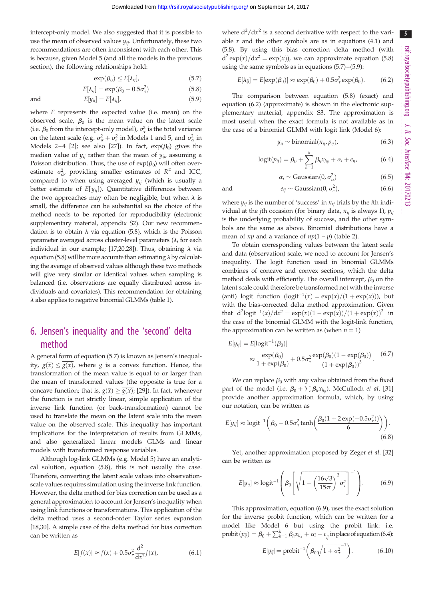intercept-only model. We also suggested that it is possible to use the mean of observed values  $y_{ij}$ . Unfortunately, these two recommendations are often inconsistent with each other. This is because, given Model 5 (and all the models in the previous section), the following relationships hold:

$$
\exp(\beta_0) \le E[\lambda_{ij}],\tag{5.7}
$$

$$
E[\lambda_{ij}] = \exp(\beta_0 + 0.5\sigma_\tau^2)
$$
\n(5.8)

and 
$$
E[y_{ij}] = E[\lambda_{ij}], \qquad (5.9)
$$

where E represents the expected value (i.e. mean) on the observed scale,  $\beta_0$  is the mean value on the latent scale (i.e.  $\beta_0$  from the intercept-only model),  $\sigma_{\tau}^2$  is the total variance on the latent scale (e.g.  $\sigma_{\alpha}^2 + \sigma_{e}^2$  in Models 1 and 5, and  $\sigma_{\alpha}^2$  in Models 2–4 [\[2\]](#page-9-0); see also [[27\]](#page-10-0)). In fact,  $\exp(\beta_0)$  gives the median value of  $y_{ii}$  rather than the mean of  $y_{ii}$ , assuming a Poisson distribution. Thus, the use of  $exp(\beta_0)$  will often overestimate  $\sigma_{d'}^2$ , providing smaller estimates of  $R^2$  and ICC, compared to when using averaged  $y_{ij}$  (which is usually a better estimate of  $E[y_{ij}]$ ). Quantitative differences between the two approaches may often be negligible, but when  $\lambda$  is small, the difference can be substantial so the choice of the method needs to be reported for reproducibility (electronic supplementary material, appendix S2). Our new recommendation is to obtain  $\lambda$  via equation (5.8), which is the Poisson parameter averaged across cluster-level parameters  $(\lambda_i)$  for each individual in our example; [\[17,20](#page-9-0)[,28\]](#page-10-0)). Thus, obtaining  $\lambda$  via equation (5.8) will be more accurate than estimating  $\lambda$  by calculating the average of observed values although these two methods will give very similar or identical values when sampling is balanced (i.e. observations are equally distributed across individuals and covariates). This recommendation for obtaining  $\lambda$  also applies to negative binomial GLMMs [\(table 1](#page-2-0)).

## 6. Jensen's inequality and the 'second' delta method

A general form of equation (5.7) is known as Jensen's inequality,  $g(\bar{x}) \leq g(x)$ , where g is a convex function. Hence, the transformation of the mean value is equal to or larger than the mean of transformed values (the opposite is true for a concave function; that is,  $g(\bar{x}) \geq g(x)$ ; [\[29](#page-10-0)]). In fact, whenever the function is not strictly linear, simple application of the inverse link function (or back-transformation) cannot be used to translate the mean on the latent scale into the mean value on the observed scale. This inequality has important implications for the interpretation of results from GLMMs, and also generalized linear models GLMs and linear models with transformed response variables.

Although log-link GLMMs (e.g. Model 5) have an analytical solution, equation (5.8), this is not usually the case. Therefore, converting the latent scale values into observationscale values requires simulation using the inverse link function. However, the delta method for bias correction can be used as a general approximation to account for Jensen's inequality when using link functions or transformations. This application of the delta method uses a second-order Taylor series expansion [\[18](#page-9-0)[,30](#page-10-0)]. A simple case of the delta method for bias correction can be written as

$$
E[f(x)] \approx f(x) + 0.5\sigma_{\tau}^{2} \frac{d^{2}}{dx^{2}} f(x),
$$
 (6.1)

where  $d^2/dx^2$  is a second derivative with respect to the variable  $x$  and the other symbols are as in equations (4.1) and (5.8). By using this bias correction delta method (with  $d^2 \exp(x)/dx^2 = \exp(x)$ , we can approximate equation (5.8) using the same symbols as in equations  $(5.7)$ – $(5.9)$ :

$$
E[\lambda_{ij}] = E[\exp(\beta_0)] \approx \exp(\beta_0) + 0.5\sigma_\tau^2 \exp(\beta_0). \tag{6.2}
$$

The comparison between equation (5.8) (exact) and equation (6.2) (approximate) is shown in the electronic supplementary material, appendix S3. The approximation is most useful when the exact formula is not available as in the case of a binomial GLMM with logit link (Model 6):

$$
y_{ij} \sim \text{binomial}(n_{ij}, p_{ij}), \qquad (6.3)
$$

$$
logit(p_{ij}) = \beta_0 + \sum_{h=1}^k \beta_h x_{h_{ij}} + \alpha_i + e_{ij}, \qquad (6.4)
$$

$$
\alpha_i \sim \text{Gaussian}(0, \sigma_\alpha^2) \tag{6.5}
$$

and  $e_{ij} \sim$  Gaussian $(0, \sigma_e^2)$  $(6.6)$ 

where  $y_{ij}$  is the number of 'success' in  $n_{ij}$  trials by the *i*th individual at the *j*th occasion (for binary data,  $n_{ii}$  is always 1),  $p_{ii}$ is the underlying probability of success, and the other symbols are the same as above. Binomial distributions have a mean of *np* and a variance of  $np(1 - p)$  [\(table 2\)](#page-5-0).

To obtain corresponding values between the latent scale and data (observation) scale, we need to account for Jensen's inequality. The logit function used in binomial GLMMs combines of concave and convex sections, which the delta method deals with efficiently. The overall intercept,  $\beta_0$  on the latent scale could therefore be transformed not with the inverse (anti) logit function  $(logit^{-1}(x) = exp(x)/(1 + exp(x)))$ , but with the bias-corrected delta method approximation. Given that  $d^2$ logit<sup>-1</sup>(x)/ $dx^2 = \exp(x)(1 - \exp(x))/(1 + \exp(x))^3$  in the case of the binomial GLMM with the logit-link function, the approximation can be written as (when  $n = 1$ )

$$
E[y_{ij}] = E[\text{logit}^{-1}(\beta_0)]
$$
  
\n
$$
\approx \frac{\exp(\beta_0)}{1 + \exp(\beta_0)} + 0.5\sigma_\tau^2 \frac{\exp(\beta_0)(1 - \exp(\beta_0))}{(1 + \exp(\beta_0))^3}.
$$
 (6.7)

We can replace  $\beta_0$  with any value obtained from the fixed part of the model (i.e.  $\beta_0 + \sum \beta_h x_{h_i}$ ). McCulloch *et al.* [[31\]](#page-10-0) provide another approximation formula, which, by using our notation, can be written as

$$
E[y_{ij}] \approx \logit^{-1}\left(\beta_0 - 0.5\sigma_{\tau}^2 \tanh\left(\frac{\beta_0(1 + 2\exp(-0.5\sigma_{\tau}^2))}{6}\right)\right).
$$
\n(6.8)

Yet, another approximation proposed by Zeger et al. [[32\]](#page-10-0) can be written as

$$
E[y_{ij}] \approx \text{logit}^{-1} \left( \beta_0 \left[ \sqrt{1 + \left( \frac{16\sqrt{3}}{15\pi} \right)^2 \sigma_{\tau}^2} \right]^{-1} \right). \tag{6.9}
$$

This approximation, equation (6.9), uses the exact solution for the inverse probit function, which can be written for a model like Model 6 but using the probit link: i.e. probit  $(p_{ij}) = \beta_0 + \sum_{h=1}^k \beta_h x_{h_{ij}} + \alpha_i + e_{ij}$  in place of equation (6.4):

$$
E[y_{ij}] = probit^{-1}\left(\beta_0\sqrt{1+\sigma_\tau^2}^{-1}\right).
$$
 (6.10)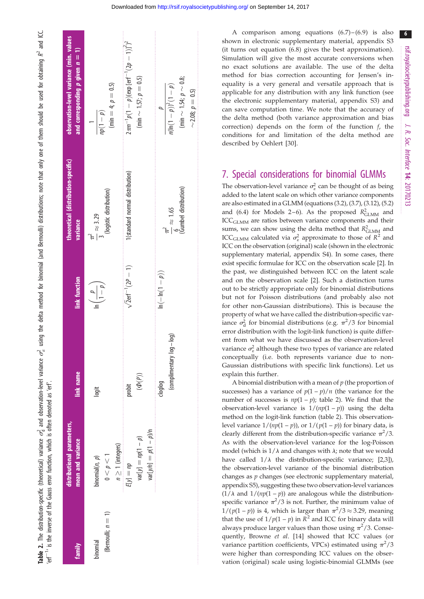<span id="page-5-0"></span>

| family                            | distributional parameters,<br>mean and variance                    | link name                               | link function                         | theoretical (distribution-specific)<br>variance         | observation-level variance (min. values<br>and corresponding $p$ given $n=1$ $ $                 |
|-----------------------------------|--------------------------------------------------------------------|-----------------------------------------|---------------------------------------|---------------------------------------------------------|--------------------------------------------------------------------------------------------------|
| (Bernoulli; $n = 1$ )<br>binomial | $n \geq 1$ (integers)<br>0 < p < 1<br>binomial $(n, p)$            | logit                                   | $\ln\left(\frac{\rho}{1-\rho}\right)$ | (logistic distribution)<br>$\frac{1}{3} \approx 3.29$   | (min = 4; $p = 0.5$ )<br>$\frac{1}{2}$ (d – 1)                                                   |
|                                   | var[ $y/n$ ] = $p(1 - p)/n$<br>var[y] = $np(1 - p)$<br>$E[y] = np$ | $(\Phi(\mathcal{P}))$<br>probit         | $\sqrt{2erf^{-1}(2P - 1)}$            | (standard normal distribution)                          | $2\pi n^{-1}p(1-p)(\exp{[\text{erf}^{-1}(2p-1)]^2})^2$<br>(min $\sim 1.57$ ; $p = 0.5$ )         |
|                                   |                                                                    | $-\log$<br>(complimentary log<br>poloop | $ln(-ln(1 - p))$                      | $\frac{\pi^2}{6} \approx 1.65$<br>(Gumbel distribution) | (min $\sim 1.54$ ; $p \sim 0.8$ ;<br>$(\ln(1-p))^2(1-p)$<br>$\sim$ 2.08; $p = 0.5$ )<br>$\theta$ |

A comparison among equations  $(6.7)$  – $(6.9)$  is also shown in electronic supplementary material, appendix S3 (it turns out equation (6.8) gives the best approximation). Simulation will give the most accurate conversions when no exact solutions are available. The use of the delta method for bias correction accounting for Jensen's inequality is a very general and versatile approach that is applicable for any distribution with any link function (see the electronic supplementary material, appendix S3) and can save computation time. We note that the accuracy of the delta method (both variance approximation and bias correction) depends on the form of the function  $f$ , the

## 7. Special considerations for binomial GLMMs

conditions for and limitation of the delta method are

described by Oehlert [[30](#page-10-0)].

The observation-level variance  $\sigma_{\varepsilon}^2$  can be thought of as being added to the latent scale on which other variance components are also estimated in a GLMM (equations (3.2), (3.7), (3.12), (5.2) and (6.4) for Models 2–6). As the proposed  $R^2_{\text{GLMM}}$  and ICCGLMM are ratios between variance components and their sums, we can show using the delta method that  $R_{\text{GLMM}}^2$  and ICC<sub>GLMM</sub> calculated via  $\sigma_{\varepsilon}^2$  approximate to those of  $R^2$  and ICC on the observation (original) scale (shown in the electronic supplementary material, appendix S4). In some cases, there exist specific formulae for ICC on the observation scale [[2](#page-9-0)]. In the past, we distinguished between ICC on the latent scale and on the observation scale [\[2\]](#page-9-0). Such a distinction turns out to be strictly appropriate only for binomial distributions but not for Poisson distributions (and probably also not for other non-Gaussian distributions). This is because the property of what we have called the distribution-specific variance  $\sigma_d^2$  for binomial distributions (e.g.  $\pi^2/3$  for binomial error distribution with the logit-link function) is quite different from what we have discussed as the observation-level variance  $\sigma_{\varepsilon}^2$  although these two types of variance are related conceptually (i.e. both represents variance due to non-Gaussian distributions with specific link functions). Let us explain this further.

A binomial distribution with a mean of  $p$  (the proportion of successes) has a variance of  $p(1-p)/n$  (the variance for the number of successes is  $np(1 - p)$ ; table 2). We find that the observation-level variance is  $1/(np(1-p))$  using the delta method on the logit-link function (table 2). This observationlevel variance  $1/(np(1-p))$ , or  $1/(p(1-p))$  for binary data, is clearly different from the distribution-specific variance  $\pi^2/3$ . As with the observation-level variance for the log-Poisson model (which is  $1/\lambda$  and changes with  $\lambda$ ; note that we would have called  $1/\lambda$  the distribution-specific variance; [[2,3\]](#page-9-0)), the observation-level variance of the binomial distribution changes as  $p$  changes (see electronic supplementary material, appendix S5), suggesting these two observation-level variances  $(1/\lambda$  and  $1/(np(1-p))$  are analogous while the distributionspecific variance  $\pi^2/3$  is not. Further, the minimum value of  $1/(p(1-p))$  is 4, which is larger than  $\pi^2/3 \approx 3.29$ , meaning that the use of  $1/p(1-p)$  in  $R^2$  and ICC for binary data will always produce larger values than those using  $\pi^2/3$ . Consequently, Browne et al. [[14\]](#page-9-0) showed that ICC values (or variance partition coefficients, VPCs) estimated using  $\pi^2/3$ were higher than corresponding ICC values on the observation (original) scale using logistic-binomial GLMMs (see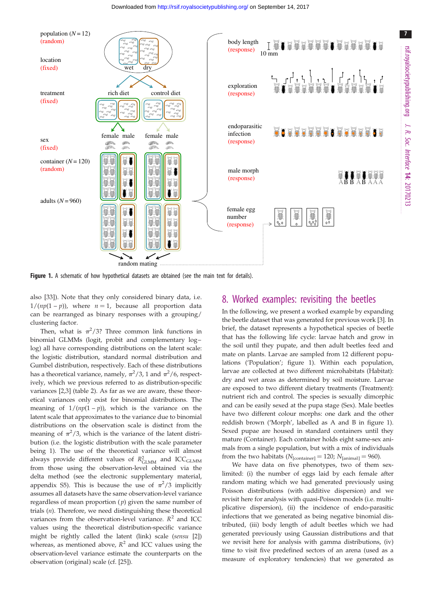<span id="page-6-0"></span>

Figure 1. A schematic of how hypothetical datasets are obtained (see the main text for details).

also [\[33](#page-10-0)]). Note that they only considered binary data, i.e.  $1/(np(1-p))$ , where  $n = 1$ , because all proportion data can be rearranged as binary responses with a grouping/ clustering factor.

Then, what is  $\pi^2/3$ ? Three common link functions in binomial GLMMs (logit, probit and complementary loglog) all have corresponding distributions on the latent scale: the logistic distribution, standard normal distribution and Gumbel distribution, respectively. Each of these distributions has a theoretical variance, namely,  $\pi^2/3$ , 1 and  $\pi^2/6$ , respectively, which we previous referred to as distribution-specific variances [\[2,3\]](#page-9-0) [\(table 2](#page-5-0)). As far as we are aware, these theoretical variances only exist for binomial distributions. The meaning of  $1/(np(1-p))$ , which is the variance on the latent scale that approximates to the variance due to binomial distributions on the observation scale is distinct from the meaning of  $\pi^2/3$ , which is the variance of the latent distribution (i.e. the logistic distribution with the scale parameter being 1). The use of the theoretical variance will almost always provide different values of  $R^2_{\text{GLMM}}$  and ICC<sub>GLMM</sub> from those using the observation-level obtained via the delta method (see the electronic supplementary material, appendix S5). This is because the use of  $\pi^2/3$  implicitly assumes all datasets have the same observation-level variance regardless of mean proportion  $(p)$  given the same number of trials  $(n)$ . Therefore, we need distinguishing these theoretical variances from the observation-level variance.  $R^2$  and ICC values using the theoretical distribution-specific variance might be rightly called the latent (link) scale (sensu [\[2\]](#page-9-0)) whereas, as mentioned above,  $R^2$  and ICC values using the observation-level variance estimate the counterparts on the observation (original) scale (cf. [\[25](#page-9-0)]).

#### 8. Worked examples: revisiting the beetles

In the following, we present a worked example by expanding the beetle dataset that was generated for previous work [[3](#page-9-0)]. In brief, the dataset represents a hypothetical species of beetle that has the following life cycle: larvae hatch and grow in the soil until they pupate, and then adult beetles feed and mate on plants. Larvae are sampled from 12 different populations ('Population'; figure 1). Within each population, larvae are collected at two different microhabitats (Habitat): dry and wet areas as determined by soil moisture. Larvae are exposed to two different dietary treatments (Treatment): nutrient rich and control. The species is sexually dimorphic and can be easily sexed at the pupa stage (Sex). Male beetles have two different colour morphs: one dark and the other reddish brown ('Morph', labelled as A and B in figure 1). Sexed pupae are housed in standard containers until they mature (Container). Each container holds eight same-sex animals from a single population, but with a mix of individuals from the two habitats ( $N_{\text{[container]}} = 120$ ;  $N_{\text{[animal]}} = 960$ ).

We have data on five phenotypes, two of them sexlimited: (i) the number of eggs laid by each female after random mating which we had generated previously using Poisson distributions (with additive dispersion) and we revisit here for analysis with quasi-Poisson models (i.e. multiplicative dispersion), (ii) the incidence of endo-parasitic infections that we generated as being negative binomial distributed, (iii) body length of adult beetles which we had generated previously using Gaussian distributions and that we revisit here for analysis with gamma distributions, (iv) time to visit five predefined sectors of an arena (used as a measure of exploratory tendencies) that we generated as

7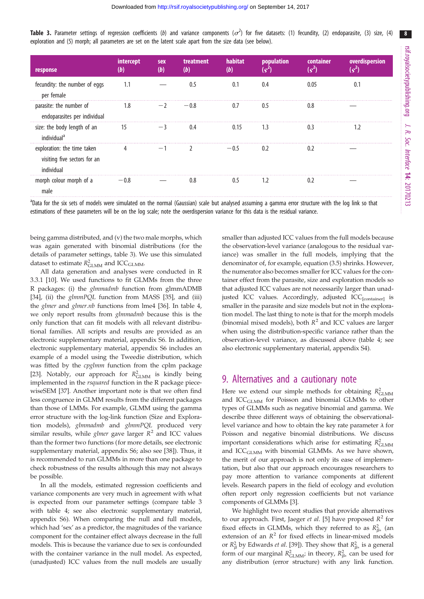| <b>Table 3.</b> Parameter settings of regression coefficients (b) and variance components ( $\sigma^2$ ) for five datasets: (1) fecundity, (2) endoparasite, (3) size, (4) |  |  |  |  |  |  |  |  |
|----------------------------------------------------------------------------------------------------------------------------------------------------------------------------|--|--|--|--|--|--|--|--|
| exploration and (5) morph; all parameters are set on the latent scale apart from the size data (see below).                                                                |  |  |  |  |  |  |  |  |

| response                                                                  | intercept<br>D) | <b>sex</b><br>(b) | treatment<br>(b) | habitat<br>(b) | <b>population</b><br>$\mathbf{c}^2$ | container<br>$(s^2)$ | overdispersion<br>$(s^2)$ |
|---------------------------------------------------------------------------|-----------------|-------------------|------------------|----------------|-------------------------------------|----------------------|---------------------------|
| fecundity: the number of eggs<br>per female                               | 1.1             |                   | 0.5              | 0.1            | 0.4                                 | 0.05                 | 0.1                       |
| parasite: the number of<br>endoparasites per individual                   | 1.8             |                   | $-0.8$           | 0.7            | 0.5                                 | 0.8                  |                           |
| size: the body length of an<br>individual <sup>a</sup>                    | 15              | $-3$              | 0.4              | 0.15           | 1.3                                 | 0.3                  | 1.2                       |
| exploration: the time taken<br>visiting five sectors for an<br>individual | $\sim$ 4        | $-1$              |                  | $-0.5$         | 0.2                                 | 0.2                  |                           |
| morph colour morph of a<br>male                                           | $-0.8$          |                   | 0.8              | 0.5            | 1.2                                 | 0.2                  |                           |

<sup>a</sup>Data for the six sets of models were simulated on the normal (Gaussian) scale but analysed assuming a gamma error structure with the log link so that estimations of these parameters will be on the log scale; note the overdispersion variance for this data is the residual variance.

being gamma distributed, and (v) the two male morphs, which was again generated with binomial distributions (for the details of parameter settings, table 3). We use this simulated dataset to estimate  $R_{\text{GLMM}}^2$  and ICC<sub>GLMM</sub>.

All data generation and analyses were conducted in R 3.3.1 [\[10](#page-9-0)]. We used functions to fit GLMMs from the three R packages: (i) the glmmadmb function from glmmADMB [\[34](#page-10-0)], (ii) the *glmmPQL* function from MASS [[35\]](#page-10-0), and (iii) the glmer and glmer.nb functions from lme4 [[36\]](#page-10-0). In [table 4](#page-8-0), we only report results from glmmadmb because this is the only function that can fit models with all relevant distributional families. All scripts and results are provided as an electronic supplementary material, appendix S6. In addition, electronic supplementary material, appendix S6 includes an example of a model using the Tweedie distribution, which was fitted by the cpglmm function from the cplm package [\[23](#page-9-0)]. Notably, our approach for  $R_{\text{GLMM}}^2$  is kindly being implemented in the rsquared function in the R package piecewiseSEM [\[37](#page-10-0)]. Another important note is that we often find less congruence in GLMM results from the different packages than those of LMMs. For example, GLMM using the gamma error structure with the log-link function (Size and Exploration models), glmmadmb and glmmPQL produced very similar results, while *glmer* gave larger  $R^2$  and ICC values than the former two functions (for more details, see electronic supplementary material, appendix S6; also see [\[38](#page-10-0)]). Thus, it is recommended to run GLMMs in more than one package to check robustness of the results although this may not always be possible.

In all the models, estimated regression coefficients and variance components are very much in agreement with what is expected from our parameter settings (compare table 3 with [table 4](#page-8-0); see also electronic supplementary material, appendix S6). When comparing the null and full models, which had 'sex' as a predictor, the magnitudes of the variance component for the container effect always decrease in the full models. This is because the variance due to sex is confounded with the container variance in the null model. As expected, (unadjusted) ICC values from the null models are usually smaller than adjusted ICC values from the full models because the observation-level variance (analogous to the residual variance) was smaller in the full models, implying that the denominator of, for example, equation (3.5) shrinks. However, the numerator also becomes smaller for ICC values for the container effect from the parasite, size and exploration models so that adjusted ICC values are not necessarily larger than unadjusted ICC values. Accordingly, adjusted ICC<sub>[container]</sub> is smaller in the parasite and size models but not in the exploration model. The last thing to note is that for the morph models (binomial mixed models), both  $R^2$  and ICC values are larger when using the distribution-specific variance rather than the observation-level variance, as discussed above ([table 4](#page-8-0); see also electronic supplementary material, appendix S4).

### 9. Alternatives and a cautionary note

Here we extend our simple methods for obtaining  $R_{\text{GLMM}}^2$ and ICCGLMM for Poisson and binomial GLMMs to other types of GLMMs such as negative binomial and gamma. We describe three different ways of obtaining the observationallevel variance and how to obtain the key rate parameter  $\lambda$  for Poisson and negative binomial distributions. We discuss important considerations which arise for estimating  $R_{\text{GLMM}}^2$ and ICC<sub>GLMM</sub> with binomial GLMMs. As we have shown, the merit of our approach is not only its ease of implementation, but also that our approach encourages researchers to pay more attention to variance components at different levels. Research papers in the field of ecology and evolution often report only regression coefficients but not variance components of GLMMs [\[3\]](#page-9-0).

We highlight two recent studies that provide alternatives to our approach. First, Jaeger et al. [[5](#page-9-0)] have proposed  $R^2$  for fixed effects in GLMMs, which they referred to as  $R_{\beta*}^2$  (an extension of an  $R^2$  for fixed effects in linear-mixed models or  $R^2_\beta$  by Edwards *et al.* [[39\]](#page-10-0)). They show that  $R^2_{\beta*}$  is a general form of our marginal  $R_{\text{GLMM}}^2$ ; in theory,  $R_{\beta*}^2$  can be used for any distribution (error structure) with any link function.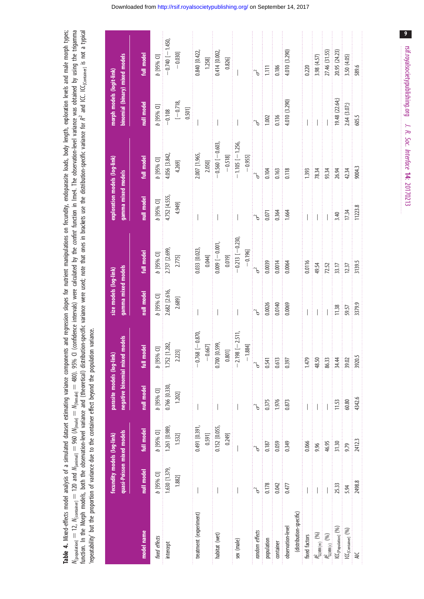<span id="page-8-0"></span>

| and regression slopes for nutrient manipulations on fecundity, endoparasite loads, body length, exploration levels and male morph types; | ifidence intervals) were calculated by the confint function in Ime4. The observation-level variance was obtained by using the trigammar             | on-specific variance were used; note that ones in brackets use the distribution-specific variance for R <sup>e</sup> and ICC. ICC <sub>lContainer</sub> is not a typical |                                                                                               |
|------------------------------------------------------------------------------------------------------------------------------------------|-----------------------------------------------------------------------------------------------------------------------------------------------------|--------------------------------------------------------------------------------------------------------------------------------------------------------------------------|-----------------------------------------------------------------------------------------------|
|                                                                                                                                          |                                                                                                                                                     |                                                                                                                                                                          |                                                                                               |
|                                                                                                                                          |                                                                                                                                                     |                                                                                                                                                                          |                                                                                               |
|                                                                                                                                          |                                                                                                                                                     |                                                                                                                                                                          |                                                                                               |
|                                                                                                                                          |                                                                                                                                                     |                                                                                                                                                                          |                                                                                               |
|                                                                                                                                          |                                                                                                                                                     |                                                                                                                                                                          |                                                                                               |
|                                                                                                                                          |                                                                                                                                                     |                                                                                                                                                                          |                                                                                               |
|                                                                                                                                          |                                                                                                                                                     |                                                                                                                                                                          |                                                                                               |
|                                                                                                                                          |                                                                                                                                                     |                                                                                                                                                                          |                                                                                               |
|                                                                                                                                          |                                                                                                                                                     |                                                                                                                                                                          |                                                                                               |
|                                                                                                                                          |                                                                                                                                                     |                                                                                                                                                                          |                                                                                               |
| lable 4. Mixed-effects model analysis of a simulated dataset estimating variance components                                              | $N_{\rm [conputation]}=12$ , $N_{\rm [conlained]}=120$ and $N_{\rm [animal]}=960$ ( $N_{\rm [male]}=N_{\rm [female]}=480$ ). $95\%$ ${\rm U}$ (cont | unction. In the Morph models, both the observation-level variance and (theoretical) distribution                                                                         | peatability' but the proportion of variance due to the container effect beyond the population |
|                                                                                                                                          |                                                                                                                                                     |                                                                                                                                                                          |                                                                                               |
|                                                                                                                                          |                                                                                                                                                     |                                                                                                                                                                          |                                                                                               |
|                                                                                                                                          |                                                                                                                                                     |                                                                                                                                                                          |                                                                                               |
|                                                                                                                                          |                                                                                                                                                     |                                                                                                                                                                          |                                                                                               |

|                            | quasi-Poisson mixed models<br>fecundity models (log-link) |               | parasite models (log-link)<br>negative binomial mixed | models                 | gamma mixed models<br>size models (log-link) |                  | exploration models (log-link)<br>gamma mixed models |                       | binomial (binary) mixed models<br>morph models (logit-link) |                  |
|----------------------------|-----------------------------------------------------------|---------------|-------------------------------------------------------|------------------------|----------------------------------------------|------------------|-----------------------------------------------------|-----------------------|-------------------------------------------------------------|------------------|
| model name                 | null model                                                | full model    | null model                                            | full model             | null model                                   | full model       | null model                                          | full model            | null model                                                  | full model       |
| fixed effects              | b [95% C]]                                                | b [95% C]]    | b [95% C]                                             | b [95% C]]             | b [95% C]                                    | b [95% C]]       | b [95% C]                                           | b [95% C]]            | b [95% C]                                                   | b [95% C]        |
| intercept                  | 1.630 [1.379,                                             | 1.261 [0.989, | 0.766 [0.330,                                         | 1.752 [1.282,          | 2.682 [2.616,                                | 2.737 [2.699,    | 4.752 [4.555,                                       | 4.056 [3.842,         | $-0.108$                                                    | $-0.740[-1.450,$ |
|                            | 1.882]                                                    | 1.532]        | 1.202]                                                | 2.223]                 | 2.689]                                       | 2.775]           | 4.949]                                              | 4.269]                | $[-0.718,$                                                  | $-0.030]$        |
|                            |                                                           |               |                                                       |                        |                                              |                  |                                                     |                       | 0.501]                                                      |                  |
| treatment (experiment)     |                                                           | 0.491 [0.391, |                                                       | $-0.768[-0.870,$       |                                              | 0.033 [0.023,    |                                                     | 2.007 [1.965,         |                                                             | 0.840 [0.422,    |
|                            |                                                           | 0.591]        |                                                       | $-0.667$               |                                              | 0.044]           |                                                     | 2.050]                |                                                             | 1.258]           |
| habitat (wet)              |                                                           | 0.152 [0.055, |                                                       | 0.700 [0.599,          | $\overline{\phantom{a}}$                     | $0.009$ [-0.001, |                                                     | $-0.560[-0.603]$      | $\overline{\phantom{a}}$                                    | 0.414 [0.002]    |
|                            |                                                           | 0.249]        |                                                       | 0.801]                 |                                              | $0.019$ ]        |                                                     | $-0.518$ ]            |                                                             | 0.826]           |
| sex (male)                 |                                                           |               |                                                       | $[-2.511,$<br>$-2.198$ |                                              | $-0.213[-0.230]$ |                                                     | $-1.105$ [ $-1.256$ , |                                                             |                  |
|                            |                                                           |               |                                                       | $-1.884$ ]             |                                              | $-0.196$ ]       |                                                     | $-0.955$ ]            |                                                             |                  |
| random effects             |                                                           |               | $\mathcal{C}$                                         |                        | $\sigma$                                     |                  |                                                     | $\frac{1}{6}$         |                                                             |                  |
| population                 | 0.178                                                     | 0.187         | 0.375                                                 | 0.541                  | 0.0026                                       | 0.0039           | 0.071                                               | 0.104                 | 1.002                                                       | 1.111            |
| container                  |                                                           | 0.059         | 1.976                                                 | 0.613                  | 0.0140                                       | 0.0014           | 0.364                                               | 0.163                 | 0.136                                                       | 0.186            |
| observation-level          | 0.477                                                     | 0.349         | 0.873                                                 | 0.397                  | 0.0069                                       | 0.0064           | 1.664                                               | 0.118                 | 4.010 (3.290)                                               | 4.010 (3.290)    |
| (distribution-specific)    |                                                           |               |                                                       |                        |                                              |                  |                                                     |                       |                                                             |                  |
| fixed factors              |                                                           | 0.066         |                                                       | 1.479                  |                                              | 0.0116           |                                                     | 1.393                 |                                                             | 0.220            |
| $R^2_{\text{GLMM(m)}}$ (%) | in the control                                            | 9.96          |                                                       | 48.50                  | Ì<br>ł                                       | 49.54            |                                                     | 78.34                 |                                                             | 3.98 (4.57)      |
| $R^2_{\text{GLMM}(c)}$ (%) |                                                           | 46.95         | ł                                                     | 86.33                  |                                              | 72.52            | for the control                                     | 93.34                 |                                                             | 27.46 (31.55)    |
| $ICC_{[Population]}$ (%)   | 25.33                                                     | 31.30         | $\frac{15}{11}$                                       | 34.44                  | 11.38                                        | 33.17            | 3.40                                                | 26.94                 | 19.48 (22.64;)                                              | 20.95 (24.23)    |
| $ICC_{[Constant]}$ (%)     | 5.94                                                      | 9.79          | 60.80                                                 | 39.02                  | 59.57                                        | 12.37            | 17.34                                               | 42.34                 | 2.64 (3.07;)                                                | 3.50 (4.05)      |
| <b>AIC</b>                 | 2498.8                                                    | 2412.3        | 4342.6                                                | 3920.5                 | 3379.9                                       | 3139.5           | 11223.8                                             | 9004.3                | 605.5                                                       | 589.6            |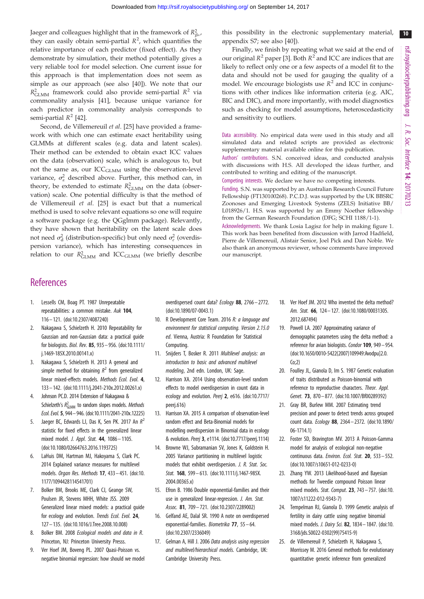<span id="page-9-0"></span>Jaeger and colleagues highlight that in the framework of  $\mathcal{R}^2_{\beta\ast}$ , they can easily obtain semi-partial  $R^2$ , which quantifies the relative importance of each predictor (fixed effect). As they demonstrate by simulation, their method potentially gives a very reliable tool for model selection. One current issue for this approach is that implementation does not seem as simple as our approach (see also [[40\]](#page-10-0)). We note that our  $R_{\text{GLMM}}^2$  framework could also provide semi-partial  $R^2$  via commonality analysis [\[41](#page-10-0)], because unique variance for each predictor in commonality analysis corresponds to semi-partial  $R^2$  [\[42](#page-10-0)].

Second, de Villemereuil et al. [25] have provided a framework with which one can estimate exact heritability using GLMMs at different scales (e.g. data and latent scales). Their method can be extended to obtain exact ICC values on the data (observation) scale, which is analogous to, but not the same as, our  $ICC_{GIMM}$  using the observation-level variance,  $\sigma_{\varepsilon}^2$  described above. Further, this method can, in theory, be extended to estimate  $R^2_{\text{GLMM}}$  on the data (observation) scale. One potential difficulty is that the method of de Villemereuil et al. [25] is exact but that a numerical method is used to solve relevant equations so one will require a software package (e.g. the QGglmm package). Relevantly, they have shown that heritability on the latent scale does not need  $\sigma_{\rm d}^2$  (distribution-specific) but only need  $\sigma_{\rm e}^2$  (overdispersion variance), which has interesting consequences in relation to our  $R_{\text{GLMM}}^2$  and ICC<sub>GLMM</sub> (we briefly describe

this possibility in the electronic supplementary material, appendix S7; see also [\[40](#page-10-0)]).

Finally, we finish by repeating what we said at the end of our original  $R^2$  paper [3]. Both  $R^2$  and ICC are indices that are likely to reflect only one or a few aspects of a model fit to the data and should not be used for gauging the quality of a model. We encourage biologists use  $R^2$  and ICC in conjunctions with other indices like information criteria (e.g. AIC, BIC and DIC), and more importantly, with model diagnostics such as checking for model assumptions, heteroscedasticity and sensitivity to outliers.

Data accessibility. No empirical data were used in this study and all simulated data and related scripts are provided as electronic supplementary material available online for this publication.

Authors' contributions. S.N. conceived ideas, and conducted analysis with discussions with H.S. All developed the ideas further, and contributed to writing and editing of the manuscript.

Competing interests. We declare we have no competing interests.

Funding. S.N. was supported by an Australian Research Council Future Fellowship (FT130100268). P.C.D.J. was supported by the UK BBSRC Zoonoses and Emerging Livestock Systems (ZELS) Initiative BB/ L018926/1. H.S. was supported by an Emmy Noether fellowship from the German Research Foundation (DFG; SCHI 1188/1-1).

Acknowledgements. We thank Losia Lagisz for help in making [figure 1.](#page-6-0) This work has been benefited from discussion with Jarrod Hadfield, Pierre de Villemereuil, Alistair Senior, Joel Pick and Dan Noble. We also thank an anonymous reviewer, whose comments have improved our manuscript.

## **References**

- 1. Lessells CM, Boag PT. 1987 Unrepeatable repeatabilities: a common mistake. Auk 104, 116– 121. ([doi:10.2307/4087240\)](http://dx.doi.org/10.2307/4087240)
- 2. Nakagawa S, Schielzeth H. 2010 Repeatability for Gaussian and non-Gaussian data: a practical guide for biologists. Biol. Rev. 85, 935 – 956. ([doi:10.1111/](http://dx.doi.org/10.1111/j.1469-185X.2010.00141.x) [j.1469-185X.2010.00141.x](http://dx.doi.org/10.1111/j.1469-185X.2010.00141.x))
- 3. Nakagawa S, Schielzeth H. 2013 A general and simple method for obtaining  $R^2$  from generalized linear mixed-effects models. Methods Ecol. Evol. 4, 133– 142. ([doi:10.1111/j.2041-210x.2012.00261.x\)](http://dx.doi.org/10.1111/j.2041-210x.2012.00261.x)
- 4. Johnson PC.D. 2014 Extension of Nakagawa & Schielzeth's  $R_{\text{GLMM}}^2$  to random slopes models. Methods Ecol. Evol. 5, 944–946. [\(doi:10.1111/2041-210x.12225\)](http://dx.doi.org/10.1111/2041-210x.12225)
- 5. Jaeger BC, Edwards LJ, Das K, Sen PK. 2017 An  $R^2$ statistic for fixed effects in the generalized linear mixed model. *J. Appl. Stat.* **44**, 1086 - 1105. [\(doi:10.1080/02664763.2016.1193725](http://dx.doi.org/10.1080/02664763.2016.1193725))
- 6. LaHuis DM, Hartman MJ, Hakoyama S, Clark PC. 2014 Explained variance measures for multilevel models. Organ Res. Methods 17, 433– 451. ([doi:10.](http://dx.doi.org/10.1177/1094428114541701) [1177/1094428114541701](http://dx.doi.org/10.1177/1094428114541701))
- 7. Bolker BM, Brooks ME, Clark CJ, Geange SW, Poulsen JR, Stevens MHH, White JSS. 2009 Generalized linear mixed models: a practical guide for ecology and evolution. Trends Ecol. Evol. 24, 127– 135. ([doi:10.1016/J.Tree.2008.10.008\)](http://dx.doi.org/10.1016/J.Tree.2008.10.008)
- 8. Bolker BM. 2008 Ecological models and data in R. Princeton, NJ: Princeton University Presss.
- 9. Ver Hoef JM, Boveng PL. 2007 Quasi-Poisson vs. negative binomial regression: how should we model

overdispersed count data? Ecology 88, 2766 - 2772. [\(doi:10.1890/07-0043.1](http://dx.doi.org/10.1890/07-0043.1))

- 10. R Development Core Team. 2016 R: a language and environment for statistical computing. Version 2.15.0 ed. Vienna, Austria: R Foundation for Statistical Computing.
- 11. Snijders T, Bosker R. 2011 Multilevel analysis: an introduction to basic and advanced multilevel modeling, 2nd edn. London, UK: Sage.
- 12. Harrison XA. 2014 Using observation-level random effects to model overdispersion in count data in ecology and evolution. Peerj 2, e616. [\(doi:10.7717/](http://dx.doi.org/10.7717/peerj.616) [peerj.616](http://dx.doi.org/10.7717/peerj.616))
- 13. Harrison XA. 2015 A comparison of observation-level random effect and Beta-Binomial models for modelling overdispersion in Binomial data in ecology & evolution. Peerj 3, e1114. [\(doi:10.7717/peerj.1114\)](http://dx.doi.org/10.7717/peerj.1114)
- 14. Browne WJ, Subramanian SV, Jones K, Goldstein H. 2005 Variance partitioning in multilevel logistic models that exhibit overdispersion. J. R. Stat. Soc. Stat. 168, 599-613. [\(doi:10.1111/j.1467-985X.](http://dx.doi.org/10.1111/j.1467-985X.2004.00365.x) [2004.00365.x\)](http://dx.doi.org/10.1111/j.1467-985X.2004.00365.x)
- 15. Efron B. 1986 Double exponential-families and their use in generalized linear-regression. J. Am. Stat. Assoc. 81, 709– 721. ([doi:10.2307/2289002](http://dx.doi.org/10.2307/2289002))
- 16. Gelfand AE, Dalal SR. 1990 A note on overdispersed exponential-families. Biometrika 77, 55 – 64. [\(doi:10.2307/2336049](http://dx.doi.org/10.2307/2336049))
- 17. Gelman A, Hill J. 2006 Data analysis using regression and multilevel/hierarchical models. Cambridge, UK: Cambridge University Press.
- 18. Ver Hoef JM. 2012 Who invented the delta method? Am. Stat. 66, 124-127. [\(doi:10.1080/00031305.](http://dx.doi.org/10.1080/00031305.2012.687494) [2012.687494](http://dx.doi.org/10.1080/00031305.2012.687494))
- 19. Powell LA. 2007 Approximating variance of demographic parameters using the delta method: a reference for avian biologists. Condor 109, 949–954. ([doi:10.1650/0010-5422\(2007\)109949:Avodpu\]2.0.](http://dx.doi.org/10.1650/0010-5422(2007)109949:Avodpu]2.0.Co;2)  $Co:2$
- 20. Foulley JL, Gianola D, Im S. 1987 Genetic evaluation of traits distributed as Poisson-binomial with reference to reproductive characters. Theor. Appl. Genet. 73, 870-877. [\(doi:10.1007/Bf00289392\)](http://dx.doi.org/10.1007/Bf00289392)
- 21. Gray BR, Burlew MM. 2007 Estimating trend precision and power to detect trends across grouped count data. Ecology 88, 2364 – 2372. [\(doi:10.1890/](http://dx.doi.org/10.1890/06-1714.1) [06-1714.1](http://dx.doi.org/10.1890/06-1714.1))
- 22. Foster SD, Bravington MV. 2013 A Poisson-Gamma model for analysis of ecological non-negative continuous data. Environ. Ecol. Stat. 20, 533 – 552. ([doi:10.1007/s10651-012-0233-0](http://dx.doi.org/10.1007/s10651-012-0233-0))
- 23. Zhang YW. 2013 Likelihood-based and Bayesian methods for Tweedie compound Poisson linear mixed models. Stat. Comput. 23, 743– 757. [\(doi:10.](http://dx.doi.org/10.1007/s11222-012-9343-7) [1007/s11222-012-9343-7](http://dx.doi.org/10.1007/s11222-012-9343-7))
- 24. Tempelman RJ, Gianola D. 1999 Genetic analysis of fertility in dairy cattle using negative binomial mixed models. J. Dairy Sci. 82, 1834– 1847. [\(doi:10.](http://dx.doi.org/10.3168/jds.S0022-0302(99)75415-9) [3168/jds.S0022-0302\(99\)75415-9\)](http://dx.doi.org/10.3168/jds.S0022-0302(99)75415-9)
- 25. de Villemereuil P, Schielzeth H, Nakagawa S, Morrissey M. 2016 General methods for evolutionary quantitative genetic inference from generalized